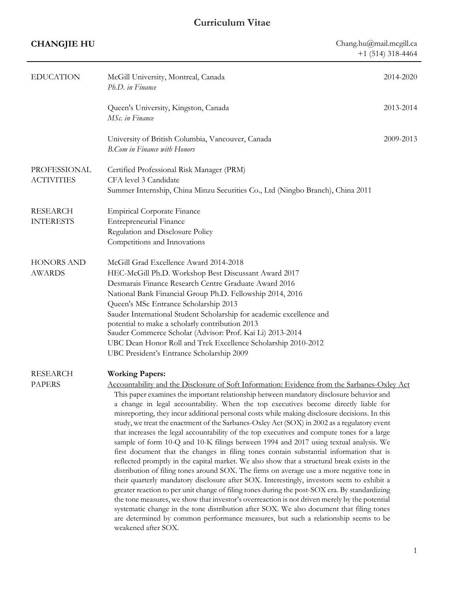| <b>CHANGJIE HU</b>                       |                                                                                                                                                                                                                                                                                                                                                                                                                                                                                                                                                                                                                                                                                                                                                                                                                                                                                                                                                                                                                                                                                                                                                                                                                                                                                                                                                                                                                                                                                                    | Chang.hu@mail.mcgill.ca<br>$+1$ (514) 318-4464 |
|------------------------------------------|----------------------------------------------------------------------------------------------------------------------------------------------------------------------------------------------------------------------------------------------------------------------------------------------------------------------------------------------------------------------------------------------------------------------------------------------------------------------------------------------------------------------------------------------------------------------------------------------------------------------------------------------------------------------------------------------------------------------------------------------------------------------------------------------------------------------------------------------------------------------------------------------------------------------------------------------------------------------------------------------------------------------------------------------------------------------------------------------------------------------------------------------------------------------------------------------------------------------------------------------------------------------------------------------------------------------------------------------------------------------------------------------------------------------------------------------------------------------------------------------------|------------------------------------------------|
| <b>EDUCATION</b>                         | McGill University, Montreal, Canada<br>Ph.D. in Finance                                                                                                                                                                                                                                                                                                                                                                                                                                                                                                                                                                                                                                                                                                                                                                                                                                                                                                                                                                                                                                                                                                                                                                                                                                                                                                                                                                                                                                            | 2014-2020                                      |
|                                          | Queen's University, Kingston, Canada<br>MSc. in Finance                                                                                                                                                                                                                                                                                                                                                                                                                                                                                                                                                                                                                                                                                                                                                                                                                                                                                                                                                                                                                                                                                                                                                                                                                                                                                                                                                                                                                                            | 2013-2014                                      |
|                                          | University of British Columbia, Vancouver, Canada<br><b>B.Com in Finance with Honors</b>                                                                                                                                                                                                                                                                                                                                                                                                                                                                                                                                                                                                                                                                                                                                                                                                                                                                                                                                                                                                                                                                                                                                                                                                                                                                                                                                                                                                           | 2009-2013                                      |
| <b>PROFESSIONAL</b><br><b>ACTIVITIES</b> | Certified Professional Risk Manager (PRM)<br>CFA level 3 Candidate<br>Summer Internship, China Minzu Securities Co., Ltd (Ningbo Branch), China 2011                                                                                                                                                                                                                                                                                                                                                                                                                                                                                                                                                                                                                                                                                                                                                                                                                                                                                                                                                                                                                                                                                                                                                                                                                                                                                                                                               |                                                |
| <b>RESEARCH</b><br><b>INTERESTS</b>      | <b>Empirical Corporate Finance</b><br><b>Entrepreneurial Finance</b><br>Regulation and Disclosure Policy<br>Competitions and Innovations                                                                                                                                                                                                                                                                                                                                                                                                                                                                                                                                                                                                                                                                                                                                                                                                                                                                                                                                                                                                                                                                                                                                                                                                                                                                                                                                                           |                                                |
| <b>HONORS AND</b><br><b>AWARDS</b>       | McGill Grad Excellence Award 2014-2018<br>HEC-McGill Ph.D. Workshop Best Discussant Award 2017<br>Desmarais Finance Research Centre Graduate Award 2016<br>National Bank Financial Group Ph.D. Fellowship 2014, 2016<br>Queen's MSc Entrance Scholarship 2013<br>Sauder International Student Scholarship for academic excellence and<br>potential to make a scholarly contribution 2013<br>Sauder Commerce Scholar (Advisor: Prof. Kai Li) 2013-2014<br>UBC Dean Honor Roll and Trek Excellence Scholarship 2010-2012<br>UBC President's Entrance Scholarship 2009                                                                                                                                                                                                                                                                                                                                                                                                                                                                                                                                                                                                                                                                                                                                                                                                                                                                                                                                |                                                |
| <b>RESEARCH</b><br><b>PAPERS</b>         | <b>Working Papers:</b><br>Accountability and the Disclosure of Soft Information: Evidence from the Sarbanes-Oxley Act<br>This paper examines the important relationship between mandatory disclosure behavior and<br>a change in legal accountability. When the top executives become directly liable for<br>misreporting, they incur additional personal costs while making disclosure decisions. In this<br>study, we treat the enactment of the Sarbanes-Oxley Act (SOX) in 2002 as a regulatory event<br>that increases the legal accountability of the top executives and compute tones for a large<br>sample of form 10-Q and 10-K filings between 1994 and 2017 using textual analysis. We<br>first document that the changes in filing tones contain substantial information that is<br>reflected promptly in the capital market. We also show that a structural break exists in the<br>distribution of filing tones around SOX. The firms on average use a more negative tone in<br>their quarterly mandatory disclosure after SOX. Interestingly, investors seem to exhibit a<br>greater reaction to per unit change of filing tones during the post-SOX era. By standardizing<br>the tone measures, we show that investor's overreaction is not driven merely by the potential<br>systematic change in the tone distribution after SOX. We also document that filing tones<br>are determined by common performance measures, but such a relationship seems to be<br>weakened after SOX. |                                                |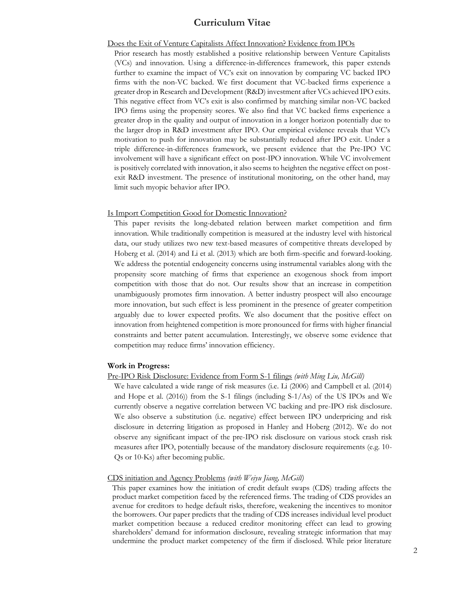#### Does the Exit of Venture Capitalists Affect Innovation? Evidence from IPOs

Prior research has mostly established a positive relationship between Venture Capitalists (VCs) and innovation. Using a difference-in-differences framework, this paper extends further to examine the impact of VC's exit on innovation by comparing VC backed IPO firms with the non-VC backed. We first document that VC-backed firms experience a greater drop in Research and Development (R&D) investment after VCs achieved IPO exits. This negative effect from VC's exit is also confirmed by matching similar non-VC backed IPO firms using the propensity scores. We also find that VC backed firms experience a greater drop in the quality and output of innovation in a longer horizon potentially due to the larger drop in R&D investment after IPO. Our empirical evidence reveals that VC's motivation to push for innovation may be substantially reduced after IPO exit. Under a triple difference-in-differences framework, we present evidence that the Pre-IPO VC involvement will have a significant effect on post-IPO innovation. While VC involvement is positively correlated with innovation, it also seems to heighten the negative effect on postexit R&D investment. The presence of institutional monitoring, on the other hand, may limit such myopic behavior after IPO.

#### Is Import Competition Good for Domestic Innovation?

This paper revisits the long-debated relation between market competition and firm innovation. While traditionally competition is measured at the industry level with historical data, our study utilizes two new text-based measures of competitive threats developed by Hoberg et al. (2014) and Li et al. (2013) which are both firm-specific and forward-looking. We address the potential endogeneity concerns using instrumental variables along with the propensity score matching of firms that experience an exogenous shock from import competition with those that do not. Our results show that an increase in competition unambiguously promotes firm innovation. A better industry prospect will also encourage more innovation, but such effect is less prominent in the presence of greater competition arguably due to lower expected profits. We also document that the positive effect on innovation from heightened competition is more pronounced for firms with higher financial constraints and better patent accumulation. Interestingly, we observe some evidence that competition may reduce firms' innovation efficiency.

#### **Work in Progress:**

#### Pre-IPO Risk Disclosure: Evidence from Form S-1 filings *(with Ming Liu, McGill)*

We have calculated a wide range of risk measures (i.e. Li (2006) and Campbell et al. (2014) and Hope et al.  $(2016)$ ) from the S-1 filings (including S-1/As) of the US IPOs and We currently observe a negative correlation between VC backing and pre-IPO risk disclosure. We also observe a substitution (i.e. negative) effect between IPO underpricing and risk disclosure in deterring litigation as proposed in Hanley and Hoberg (2012). We do not observe any significant impact of the pre-IPO risk disclosure on various stock crash risk measures after IPO, potentially because of the mandatory disclosure requirements (e.g. 10- Qs or 10-Ks) after becoming public.

#### CDS initiation and Agency Problems *(with Weiyu Jiang, McGill)*

This paper examines how the initiation of credit default swaps (CDS) trading affects the product market competition faced by the referenced firms. The trading of CDS provides an avenue for creditors to hedge default risks, therefore, weakening the incentives to monitor the borrowers. Our paper predicts that the trading of CDS increases individual level product market competition because a reduced creditor monitoring effect can lead to growing shareholders' demand for information disclosure, revealing strategic information that may undermine the product market competency of the firm if disclosed. While prior literature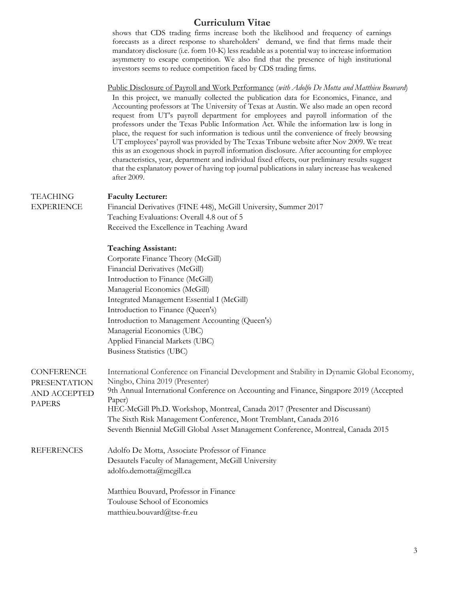shows that CDS trading firms increase both the likelihood and frequency of earnings forecasts as a direct response to shareholders' demand, we find that firms made their mandatory disclosure (i.e. form 10-K) less readable as a potential way to increase information asymmetry to escape competition. We also find that the presence of high institutional investors seems to reduce competition faced by CDS trading firms.

Public Disclosure of Payroll and Work Performance (*with Adolfo De Motta and Matthieu Bouvard*)

In this project, we manually collected the publication data for Economics, Finance, and Accounting professors at The University of Texas at Austin. We also made an open record request from UT's payroll department for employees and payroll information of the professors under the Texas Public Information Act. While the information law is long in place, the request for such information is tedious until the convenience of freely browsing UT employees' payroll was provided by The Texas Tribune website after Nov 2009. We treat this as an exogenous shock in payroll information disclosure. After accounting for employee characteristics, year, department and individual fixed effects, our preliminary results suggest that the explanatory power of having top journal publications in salary increase has weakened after 2009.

# TEACHING **Faculty Lecturer:**

EXPERIENCE Financial Derivatives (FINE 448), McGill University, Summer 2017 Teaching Evaluations: Overall 4.8 out of 5 Received the Excellence in Teaching Award

## **Teaching Assistant:**

Corporate Finance Theory (McGill) Financial Derivatives (McGill) Introduction to Finance (McGill) Managerial Economics (McGill) Integrated Management Essential I (McGill) Introduction to Finance (Queen's) Introduction to Management Accounting (Queen's) Managerial Economics (UBC) Applied Financial Markets (UBC) Business Statistics (UBC)

| <b>CONFERENCE</b><br><b>PRESENTATION</b><br><b>AND ACCEPTED</b><br><b>PAPERS</b> | International Conference on Financial Development and Stability in Dynamic Global Economy,<br>Ningbo, China 2019 (Presenter)<br>9th Annual International Conference on Accounting and Finance, Singapore 2019 (Accepted<br>Paper)<br>HEC-McGill Ph.D. Workshop, Montreal, Canada 2017 (Presenter and Discussant)<br>The Sixth Risk Management Conference, Mont Tremblant, Canada 2016<br>Seventh Biennial McGill Global Asset Management Conference, Montreal, Canada 2015 |
|----------------------------------------------------------------------------------|----------------------------------------------------------------------------------------------------------------------------------------------------------------------------------------------------------------------------------------------------------------------------------------------------------------------------------------------------------------------------------------------------------------------------------------------------------------------------|
| <b>REFERENCES</b>                                                                | Adolfo De Motta, Associate Professor of Finance<br>Desautels Faculty of Management, McGill University<br>adolfo.demotta@mcgill.ca                                                                                                                                                                                                                                                                                                                                          |
|                                                                                  | Matthieu Bouvard, Professor in Finance<br>Toulouse School of Economics<br>matthieu.bouvard@tse-fr.eu                                                                                                                                                                                                                                                                                                                                                                       |